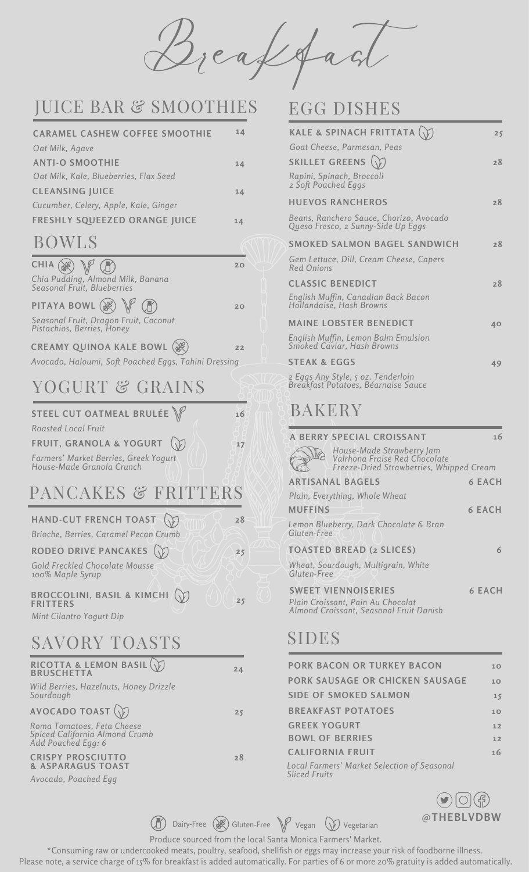Breakfast

# JUICE BAR & SMOOTHIES EGG DISHES

| <b>CARAMEL CASHEW COFFEE SMOOTHIE</b>  | 14 |
|----------------------------------------|----|
| Oat Milk, Agave                        |    |
| <b>ANTI-O SMOOTHIE</b>                 | 14 |
| Oat Milk, Kale, Blueberries, Flax Seed |    |
| <b>CLEANSING JUICE</b>                 | 14 |
| Cucumber, Celery, Apple, Kale, Ginger  |    |
| <b>FRESHLY SQUEEZED ORANGE JUICE</b>   | 14 |
|                                        |    |

### BOWLS

| CHIA $\mathbb{R}$ $\mathbb{R}$                                      | 2 <sup>c</sup> |
|---------------------------------------------------------------------|----------------|
| Chia Pudding, Almond Milk, Banana<br>Seasonal Fruit, Blueberries    |                |
| PITAYA BOWL $\mathbb{R}$ $\mathbb{V}$ $\mathbb{R}$                  | 2 <sup>c</sup> |
| Seasonal Fruit, Dragon Fruit, Coconut<br>Pistachios, Berries, Honey |                |
| CREAMY QUINOA KALE BOWL                                             |                |

*Avocado, Haloumi, Soft Poached Eggs, Tahini Dressing*

# YOGURT & GRAINS

| STEEL CUT OATMEAL BRULÉE $\mathbb{V}$                              | 16 |
|--------------------------------------------------------------------|----|
| <b>Roasted Local Fruit</b>                                         |    |
| FRUIT, GRANOLA & YOGURT                                            | 17 |
| Farmers' Market Berries, Greek Yogurt<br>House-Made Granola Crunch |    |

## PANCAKES & FRITTERS

| HAND-CUT FRENCH TOAST                                                              | 28 |
|------------------------------------------------------------------------------------|----|
| Brioche, Berries, Caramel Pecan Crumb                                              |    |
| RODEO DRIVE PANCAKES                                                               | 25 |
| Gold Freckled Chocolate Mousse<br>100% Maple Syrup                                 |    |
| <b>BROCCOLINI, BASIL &amp; KIMCHI</b><br><b>FRITTERS</b>                           | 25 |
| Mint Cilantro Yogurt Dip                                                           |    |
| SAVORY TOASTS                                                                      |    |
| RICOTTA & LEMON BASIL $(\gamma)$<br><b>BRUSCHETTA</b>                              | 24 |
| Wild Berries, Hazelnuts, Honey Drizzle<br>Sourdough                                |    |
| AVOCADO TOAST $\left(\widehat{\mathcal{V}}\right)$                                 | 25 |
| Roma Tomatoes, Feta Cheese<br>Spiced California Almond Crumb<br>Add Poached Egg: 6 |    |
| <b>CRISPY PROSCIUTTO</b><br><b>&amp; ASPARAGUS TOAST</b>                           | 28 |
|                                                                                    |    |

*Avocado, Poached Egg*

| <b>KALE &amp; SPINACH FRITTATA</b>                                            | 25 |
|-------------------------------------------------------------------------------|----|
| Goat Cheese, Parmesan, Peas                                                   |    |
| SKILLET GREENS $\langle \rangle$                                              | 28 |
| Rapini, Spinach, Broccoli<br>2 Soft Poached Eggs                              |    |
| <b>HUFVOS RANCHEROS</b>                                                       | 28 |
| Beans, Ranchero Sauce, Chorizo, Avocado<br>Queso Fresco, 2 Sunny-Side Up Eggs |    |
| SMOKED SALMON BAGEL SANDWICH                                                  | 28 |
| Gem Lettuce, Dill, Cream Cheese, Capers<br>Red Onions                         |    |
| <b>CLASSIC BENEDICT</b>                                                       | 28 |
| English Muffin, Canadian Back Bacon<br>Hollandaise, Hash Browns               |    |
| <b>MAINE LOBSTER BENEDICT</b>                                                 | 40 |
| English Muffin, Lemon Balm Emulsion<br>Smoked Caviar, Hash Browns             |    |
| <b>STEAK &amp; EGGS</b>                                                       | 49 |
| 2 Eggs Any Style, 5 oz. Tenderloin<br>Breakfast Potatoes, Béarnaise Sauce     |    |
|                                                                               |    |

## BAKERY

| <b>A BERRY SPECIAL CROISSANT</b>                                                                           | 16            |
|------------------------------------------------------------------------------------------------------------|---------------|
| House-Made Strawberry Jam<br>Valrhona Fraise Red Chocolate<br>Freeze-Dried Strawberries, Whipped Cream     |               |
| <b>ARTISANAL BAGELS</b>                                                                                    | <b>6 EACH</b> |
| Plain, Everything, Whole Wheat                                                                             |               |
| <b>MUFFINS</b>                                                                                             | 6 FACH        |
| Lemon Blueberry, Dark Chocolate & Bran<br>Gluten-Free                                                      |               |
| <b>TOASTED BREAD (2 SLICES)</b>                                                                            | 6             |
| Wheat, Sourdough, Multigrain, White<br>Gluten-Free                                                         |               |
| <b>SWEET VIENNOISERIES</b><br>Plain Croissant, Pain Au Chocolat<br>Almond Croissant, Seasonal Fruit Danish | <b>6 EACH</b> |

## SIDES

| <b>PORK BACON OR TURKEY BACON</b>                            | 10 <sub>1</sub> |
|--------------------------------------------------------------|-----------------|
| <b>PORK SAUSAGE OR CHICKEN SAUSAGE</b>                       | 10              |
| SIDE OF SMOKED SALMON                                        | 15              |
| <b>BREAKFAST POTATOES</b>                                    | 10              |
| <b>GREEK YOGURT</b>                                          | 12              |
| <b>BOWL OF BERRIES</b>                                       | 12              |
| <b>CALIFORNIA FRUIT</b>                                      | 16              |
| Local Farmers' Market Selection of Seasonal<br>Sliced Fruits |                 |

 $\odot$   $\odot$   $\odot$ 

**(d)** Dairy-Free ( $\mathcal{B}$ ) Gluten-Free  $\mathcal{V}$  Vegan  $\mathcal{D}$  Vegetarian  $\mathcal{D}$  **DEBLVDBW** 

Produce sourced from the local Santa Monica Farmers' Market.

\*Consuming raw or undercooked meats, poultry, seafood, shellfish or eggs may increase your risk of foodborne illness. Please note, a service charge of 15% for breakfast is added automatically. For parties of 6 or more 20% gratuity is added automatically.